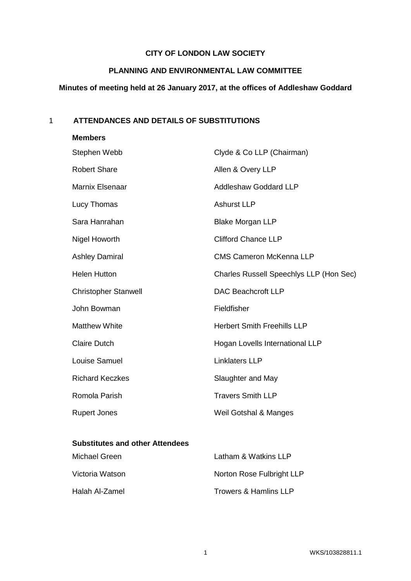# **CITY OF LONDON LAW SOCIETY**

# **PLANNING AND ENVIRONMENTAL LAW COMMITTEE**

# **Minutes of meeting held at 26 January 2017, at the offices of Addleshaw Goddard**

# 1 **ATTENDANCES AND DETAILS OF SUBSTITUTIONS**

| <b>Members</b>              |                                         |
|-----------------------------|-----------------------------------------|
| Stephen Webb                | Clyde & Co LLP (Chairman)               |
| <b>Robert Share</b>         | Allen & Overy LLP                       |
| Marnix Elsenaar             | <b>Addleshaw Goddard LLP</b>            |
| Lucy Thomas                 | <b>Ashurst LLP</b>                      |
| Sara Hanrahan               | <b>Blake Morgan LLP</b>                 |
| <b>Nigel Howorth</b>        | <b>Clifford Chance LLP</b>              |
| <b>Ashley Damiral</b>       | <b>CMS Cameron McKenna LLP</b>          |
| <b>Helen Hutton</b>         | Charles Russell Speechlys LLP (Hon Sec) |
| <b>Christopher Stanwell</b> | <b>DAC Beachcroft LLP</b>               |
| John Bowman                 | Fieldfisher                             |
| <b>Matthew White</b>        | <b>Herbert Smith Freehills LLP</b>      |
| <b>Claire Dutch</b>         | Hogan Lovells International LLP         |
| Louise Samuel               | <b>Linklaters LLP</b>                   |
| <b>Richard Keczkes</b>      | Slaughter and May                       |
| Romola Parish               | <b>Travers Smith LLP</b>                |
| <b>Rupert Jones</b>         | Weil Gotshal & Manges                   |

# **Substitutes and other Attendees**

| Michael Green   | Latham & Watkins LLP      |
|-----------------|---------------------------|
| Victoria Watson | Norton Rose Fulbright LLP |
| Halah Al-Zamel  | Trowers & Hamlins LLP     |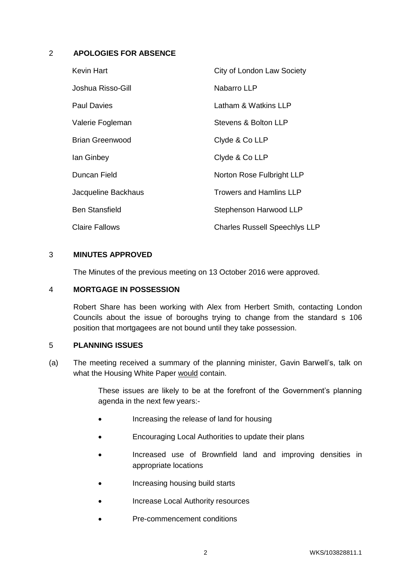## 2 **APOLOGIES FOR ABSENCE**

| Kevin Hart             | City of London Law Society           |
|------------------------|--------------------------------------|
| Joshua Risso-Gill      | Nabarro LLP                          |
| <b>Paul Davies</b>     | Latham & Watkins LLP                 |
| Valerie Fogleman       | Stevens & Bolton LLP                 |
| <b>Brian Greenwood</b> | Clyde & Co LLP                       |
| lan Ginbey             | Clyde & Co LLP                       |
| Duncan Field           | Norton Rose Fulbright LLP            |
| Jacqueline Backhaus    | <b>Trowers and Hamlins LLP</b>       |
| <b>Ben Stansfield</b>  | Stephenson Harwood LLP               |
| <b>Claire Fallows</b>  | <b>Charles Russell Speechlys LLP</b> |

## 3 **MINUTES APPROVED**

The Minutes of the previous meeting on 13 October 2016 were approved.

#### 4 **MORTGAGE IN POSSESSION**

Robert Share has been working with Alex from Herbert Smith, contacting London Councils about the issue of boroughs trying to change from the standard s 106 position that mortgagees are not bound until they take possession.

## 5 **PLANNING ISSUES**

(a) The meeting received a summary of the planning minister, Gavin Barwell's, talk on what the Housing White Paper would contain.

> These issues are likely to be at the forefront of the Government's planning agenda in the next few years:-

- Increasing the release of land for housing
- Encouraging Local Authorities to update their plans
- Increased use of Brownfield land and improving densities in appropriate locations
- Increasing housing build starts
- Increase Local Authority resources
- Pre-commencement conditions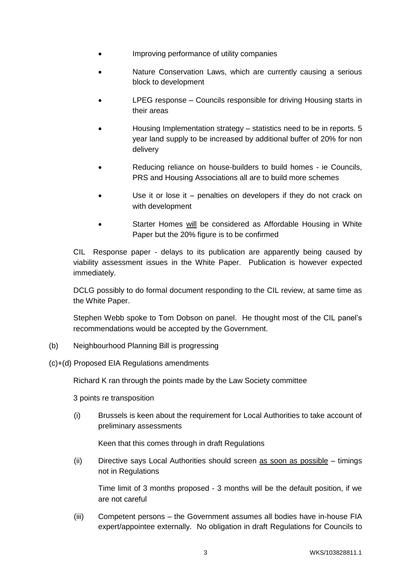- Improving performance of utility companies
- Nature Conservation Laws, which are currently causing a serious block to development
- LPEG response Councils responsible for driving Housing starts in their areas
- Housing Implementation strategy statistics need to be in reports. 5 year land supply to be increased by additional buffer of 20% for non delivery
- Reducing reliance on house-builders to build homes ie Councils, PRS and Housing Associations all are to build more schemes
- Use it or lose it penalties on developers if they do not crack on with development
- Starter Homes will be considered as Affordable Housing in White Paper but the 20% figure is to be confirmed

CIL Response paper - delays to its publication are apparently being caused by viability assessment issues in the White Paper. Publication is however expected immediately.

DCLG possibly to do formal document responding to the CIL review, at same time as the White Paper.

Stephen Webb spoke to Tom Dobson on panel. He thought most of the CIL panel's recommendations would be accepted by the Government.

- (b) Neighbourhood Planning Bill is progressing
- (c)+(d) Proposed EIA Regulations amendments

Richard K ran through the points made by the Law Society committee

3 points re transposition

(i) Brussels is keen about the requirement for Local Authorities to take account of preliminary assessments

Keen that this comes through in draft Regulations

(ii) Directive says Local Authorities should screen as soon as possible – timings not in Regulations

Time limit of 3 months proposed - 3 months will be the default position, if we are not careful

(iii) Competent persons – the Government assumes all bodies have in-house FIA expert/appointee externally. No obligation in draft Regulations for Councils to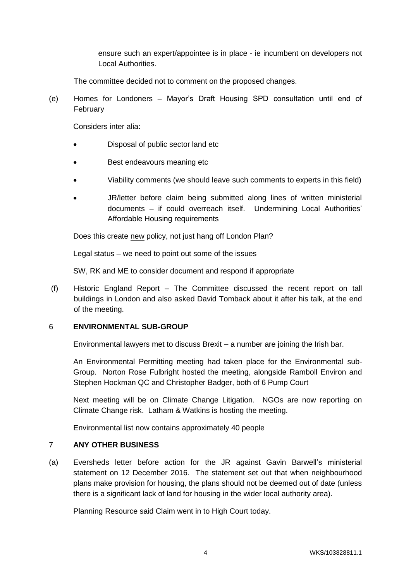ensure such an expert/appointee is in place - ie incumbent on developers not Local Authorities.

The committee decided not to comment on the proposed changes.

(e) Homes for Londoners – Mayor's Draft Housing SPD consultation until end of February

Considers inter alia:

- Disposal of public sector land etc
- Best endeavours meaning etc
- Viability comments (we should leave such comments to experts in this field)
- JR/letter before claim being submitted along lines of written ministerial documents – if could overreach itself. Undermining Local Authorities' Affordable Housing requirements

Does this create new policy, not just hang off London Plan?

Legal status – we need to point out some of the issues

SW, RK and ME to consider document and respond if appropriate

(f) Historic England Report – The Committee discussed the recent report on tall buildings in London and also asked David Tomback about it after his talk, at the end of the meeting.

## 6 **ENVIRONMENTAL SUB-GROUP**

Environmental lawyers met to discuss Brexit – a number are joining the Irish bar.

An Environmental Permitting meeting had taken place for the Environmental sub-Group. Norton Rose Fulbright hosted the meeting, alongside Ramboll Environ and Stephen Hockman QC and Christopher Badger, both of 6 Pump Court

Next meeting will be on Climate Change Litigation. NGOs are now reporting on Climate Change risk. Latham & Watkins is hosting the meeting.

Environmental list now contains approximately 40 people

## 7 **ANY OTHER BUSINESS**

(a) Eversheds letter before action for the JR against Gavin Barwell's ministerial statement on 12 December 2016. The statement set out that when neighbourhood plans make provision for housing, the plans should not be deemed out of date (unless there is a significant lack of land for housing in the wider local authority area).

Planning Resource said Claim went in to High Court today.